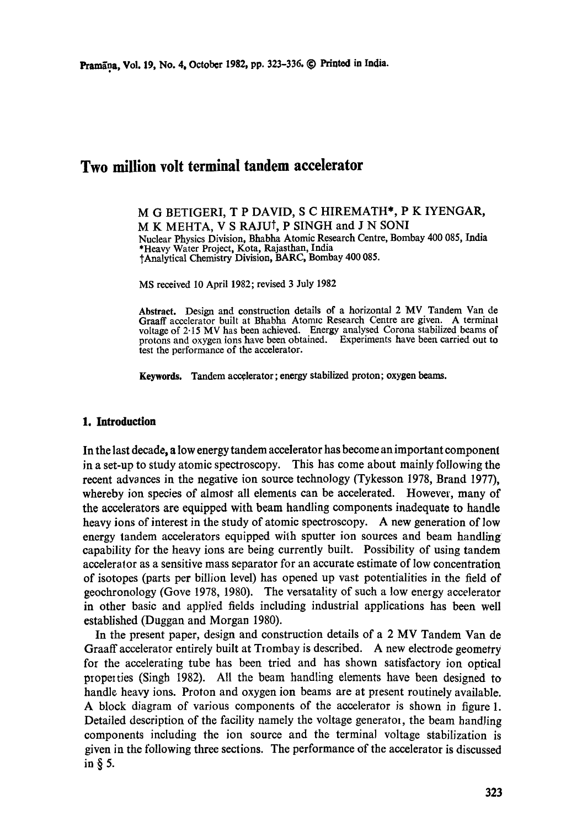# **Two million volt terminal tandem accelerator**

M G BETIGERI, T P DAVID, S C HIREMATH\*, P K IYENGAR, M K MEHTA, V S RAJUt, P SINGH and J N SONI Nuclear Physics Division, Bhabha Atomic Research Centre, Bombay 400 085, India \*Heavy Water Project, Kota, Rajasthan, India 1"Analytical Chemistry Division, BARC, Bombay 400 085.

MS received I0 April 1982; revised 3 July 1982

**Abstract.** Design and construction details of a horizontal 2 MV Tandem Van de Graaff accelerator built at Bhabha Atomic Research Centre are given. A terminal voltage of 2.15 MV has been achieved. Energy analysed Corona stabilized beams of protons and oxygen ions have been obtained. Experiments have been carried out **to**  test the performance of the accelerator.

**Keywords.** Tandem accelerator; energy stabilized proton; oxygen beams.

#### **1. Introduction**

In the last decade, a low energy tandem accelerator has become an important component in a set-up to study atomic spectroscopy. This has come about mainly following the recent advances in the negative ion source technology (Tykesson 1978, Brand 1977), whereby ion species of almost all elements can be accelerated. However, many of the accelerators are equipped with beam handling components inadequate to handle heavy ions of interest in the study of atomic spectroscopy. A new generation of low energy tandem accelerators equipped wilh sputter ion sources and beam handling capability for the heavy ions are being currently built. Possibility of using tandem aceeleralor as a sensitive mass separator for an accurate estimate of low concentration of isotopes (parts per billion level) has opened up vast potentialities in the field of geochronology (Gove 1978, 1980). The versatality of such a low energy accelerator in other basic and applied fields including industrial applications has been well established (Duggan and Morgan 1980).

In the present paper, design and construction details of a 2 MV Tandem Van de Graaff accelerator entirely built at Trombay is described. A new electrode geometry for the accelerating tube has been tried and has shown satisfactory ion optical propeities (Singh 1982). All the beam handling elements have been designed to handle heavy ions. Proton and oxygen ion beams are at present routinely available. A block diagram of various components of the accelerator is shown in figure 1. Detailed description of the facility namely the voltage generator, the beam handling components including the ion source and the terminal voltage stabilization is given in the following three sections. The performance of the accelerator is discussed in§5.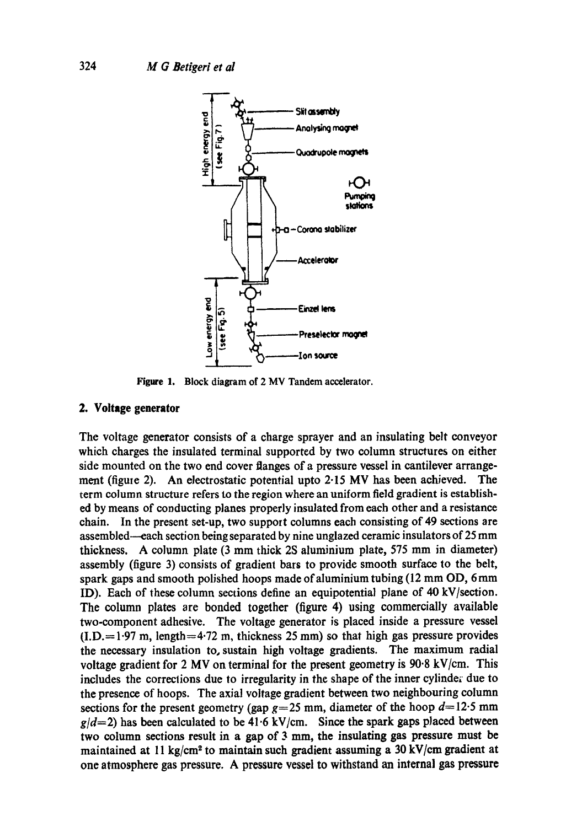

**Figure** 1. Block diagram of 2 MV Tandem accelerator.

#### **2. Voltage generator**

The voltage generator consists of a charge sprayer and an insulating belt conveyor which charges the insulated terminal supported by two column structures on either side mounted on the two end cover flanges of a pressure vessel in cantilever arrangement (figure 2). An electrostatic potential upto  $2.15$  MV has been achieved. The term column structure refers to the region where an uniform field gradient is established by means of conducting planes properly insulated from each other and a resistance chain. In the present set-up, two support columns each consisting of 49 sections are assembled--each section being separated by nine unglazed ceramic insulators of 25 mm thickness. A column plate (3 mm thick 2S aluminium plate, 575 mm in diameter) assembly (figure 3) consists of gradient bars to provide smooth surface to the belt, spark gaps and smooth polished hoops made of aluminium tubing (12 mm OD, 6 mm ID). Each of these column sections define an equipotential plane of 40 kV]section. The column plates are bonded together (figure 4) using commercially available two-component adhesive. The voltage generator is placed inside a pressure vessel  $(I.D.= 1.97 m$ , length=4.72 m, thickness 25 mm) so that high gas pressure provides the necessary insulation to, sustain high voltage gradients. The maximum radial voltage gradient for 2 MV on terminal for the present geometry is 90.8 kV/cm. This includes the corrections due to irregularity in the shape of the inner cylinder due to the presence of hoops. The axial voltage gradient between two neighbouring column sections for the present geometry (gap  $g=25$  mm, diameter of the hoop  $d=12.5$  mm  $g/d=2$ ) has been calculated to be 41.6 kV/cm. Since the spark gaps placed between two column sections result in a gap of  $3 \text{ mm}$ , the insulating gas pressure must be maintained at 11 kg/cm<sup>2</sup> to maintain such gradient assuming a 30 kV/cm gradient at one atmosphere gas pressure. A pressure vessel to withstand an internal gas pressure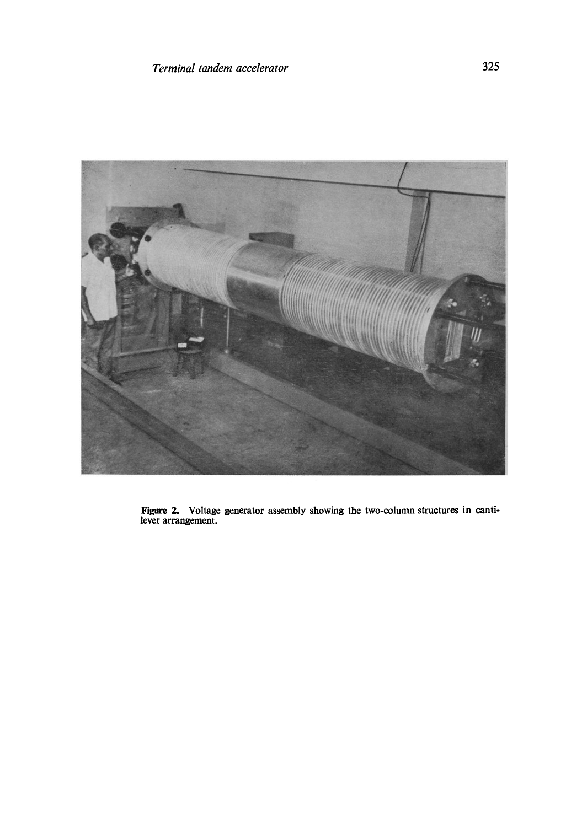

Figure 2. Voltage generator assembly showing the two-column structures in cantilever arrangement.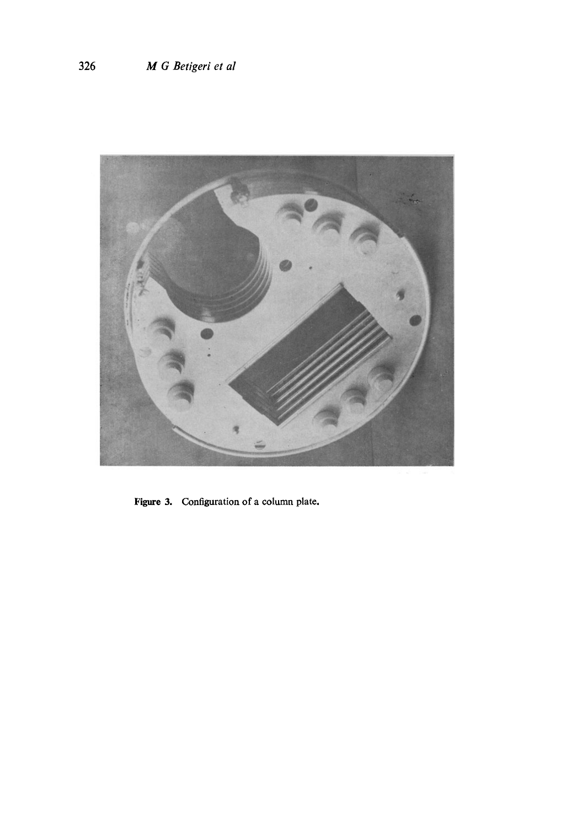

Figure 3. Configuration of a column plate.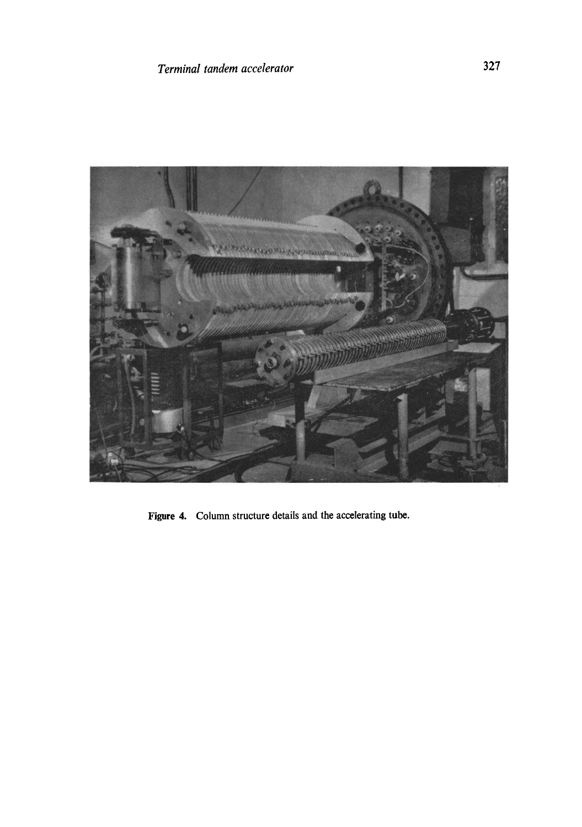

Figure 4. Column structure details and the accelerating tube.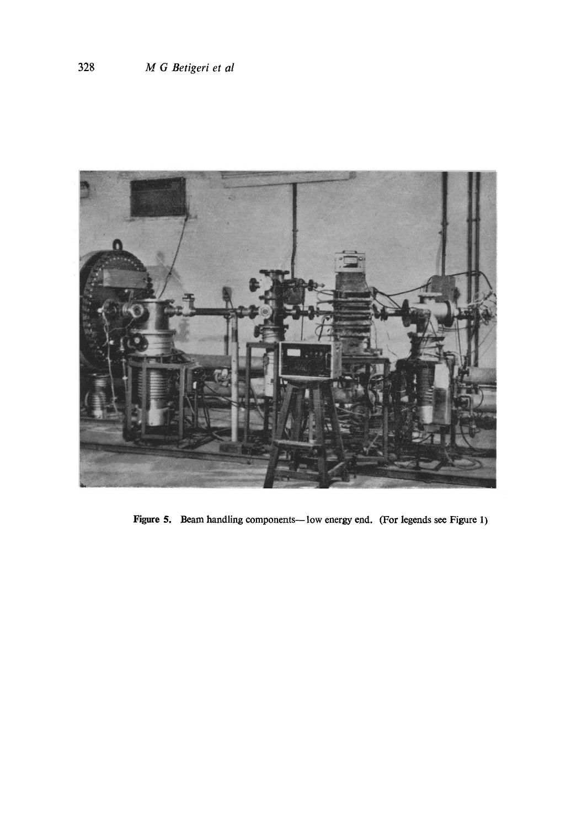

Figure 5. Beam handling components--low energy end. (For legends see Figure 1)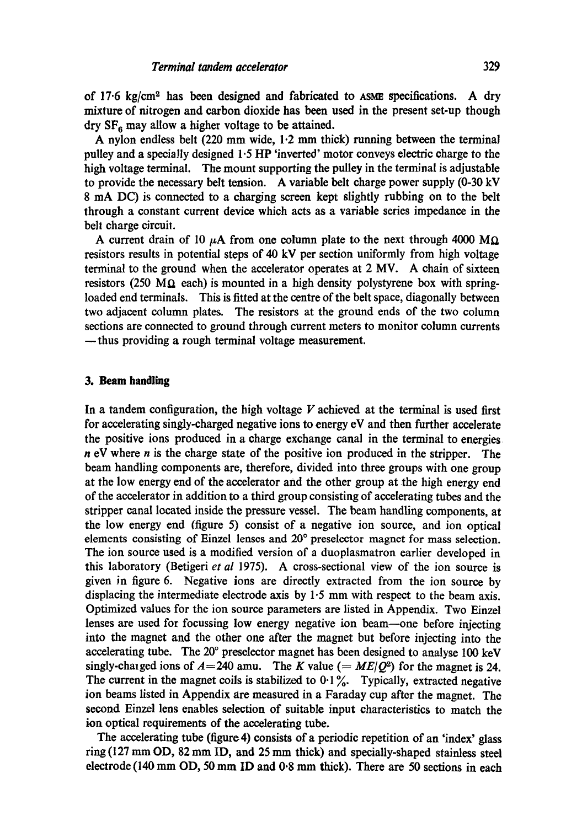of 17.6 kg/cm<sup>2</sup> has been designed and fabricated to ASME specifications. A dry mixture of nitrogen and carbon dioxide has been used in the present set-up though  $\text{dry SF}_6$  may allow a higher voltage to be attained.

A nylon endless belt (220 mm wide, 1.2 mm thick) running between the terminal pulley and a specially designed  $1.5$  HP 'inverted' motor conveys electric charge to the high voltage terminal. The mount supporting the pulley in the terminal is adjustable to provide the necessary belt tension. A variable belt charge power supply (0-30 kV 8 mA DC) is connected to a charging screen kept slightly rubbing on to the belt through a constant current device which acts as a variable series impedance in the belt charge circuit.

A current drain of 10  $\mu$ A from one column plate to the next through 4000 MQ resistors results in potential steps of 40 kV per section uniformly from high voltage terminal to the ground when the accelerator operates at 2 MV. A chain of sixteen resistors (250 M $\Omega$  each) is mounted in a high density polystyrene box with springloaded end terminals. This is fitted at the centre of the belt space, diagonally between two adjacent column plates. The resistors at the ground ends of the two column sections are connected to ground through current meters to monitor column currents **--thus** providing a rough terminal voltage measurement.

### **3. Beam handling**

In a tandem configuration, the high voltage  $V$  achieved at the terminal is used first for accelerating singly-charged negative ions to energy eV and then further accelerate the positive ions produced in a charge exchange canal in the terminal to energies  $n eV$  where  $n$  is the charge state of the positive ion produced in the stripper. The beam handling components are, therefore, divided into three groups with one group at the low energy end of the accelerator and the other group at the high energy end of the accelerator in addition to a third group consisting of accelerating tubes and the stripper canal located inside the pressure vessel. The beam handling components, at the low energy end (figure 5) consist of a negative ion source, and ion optical elements consisting of Einzel lenses and 20 ° preselector magnet for mass selection. The ion source used is a modified version of a duoplasmatron earlier developed in this laboratory (Betigeri *et al* 1975). A cross-sectional view of the ion source is given in figure 6. Negative ions are directly extracted from the ion source by displacing the intermediate electrode axis by 1.5 mm with respect to the beam axis. Optimized values for the ion source parameters are listed in Appendix. Two Einzel lenses are used for focussing low energy negative ion beam-one before injecting into the magnet and the other one after the magnet but before injecting into the accelerating tube. The 20° preselector magnet has been designed to analyse 100 keV singly-chaiged ions of  $A=240$  amu. The K value ( $= ME/Q^2$ ) for the magnet is 24. The current in the magnet coils is stabilized to  $0.1\%$ . Typically, extracted negative ion beams listed in Appendix are measured in a Faraday cup after the magnet. The second Einzel lens enables selection of suitable input characteristics to match the ion optical requirements of the accelerating tube.

The accelerating tube (figure 4) consists of a periodic repetition of an 'index' glass ring  $(127 \text{ mm OD}, 82 \text{ mm ID}, \text{ and } 25 \text{ mm thick})$  and specially-shaped stainless steel electrode (140 mm OD, 50 mm ID and 0.8 mm thick). There are 50 sections in each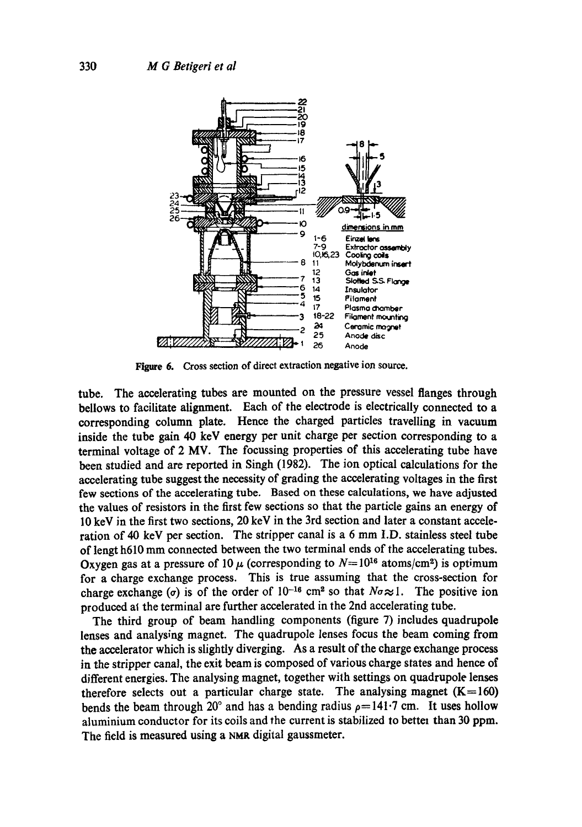

Figure 6. Cross section of direct extraction negative ion source.

tube. The accelerating tubes are mounted on the pressure vessel flanges through bellows to facilitate alignment. Each of the electrode is electrically connected to a corresponding column plate. Hence the charged particles travelling in vacuum inside the tube gain 40 kcV energy per unit charge per section corresponding to a terminal voltage of 2 MV. The focussing properties of this accelerating tube have been studied and are reported in Singh (1982). The ion optical calculations for the accelerating tube suggest the necessity of grading the accelerating voltages in the first few sections of the accelerating tube. Based on these calculations, we have adjusted the values of resistors in the first few sections so that the particle gains an energy of 10 keV in the first two sections, 20 kcV in the 3rd section and later a constant acceleration of 40 kcV per section. Thc stripper canal is a 6 mm I.D. stainless steel tube of lengt h610 mm connected between the two terminal ends of the accelerating tubes. Oxygen gas at a pressure of 10  $\mu$  (corresponding to  $N=10^{16}$  atoms/cm<sup>2</sup>) is optimum for a charge exchange process. This is true assuming that the cross-section for charge exchange ( $\sigma$ ) is of the order of 10<sup>-16</sup> cm<sup>2</sup> so that  $N\sigma \approx 1$ . The positive ion produced at the terminal are further accelerated in the 2nd accelerating tube.

The third group of beam handling components (figure 7) includes quadrupole lenses and analysing magnet. The quadrupole lenses focus the beam coming from the accelerator which is slightly diverging. As a result of the charge exchange process in the stripper canal, the exit beam is composed of various charge states and hence of different energies. The analysing magnet, together with settings on quadrupole lenses therefore selects out a particular charge state. The analysing magnet  $(K=160)$ bends the beam through 20° and has a bending radius  $\rho = 141 \cdot 7$  cm. It uses hollow aluminium conductor for its coils and the current is stabilized to better than 30 ppm. The field is measured using a NMR digital gaussmeter.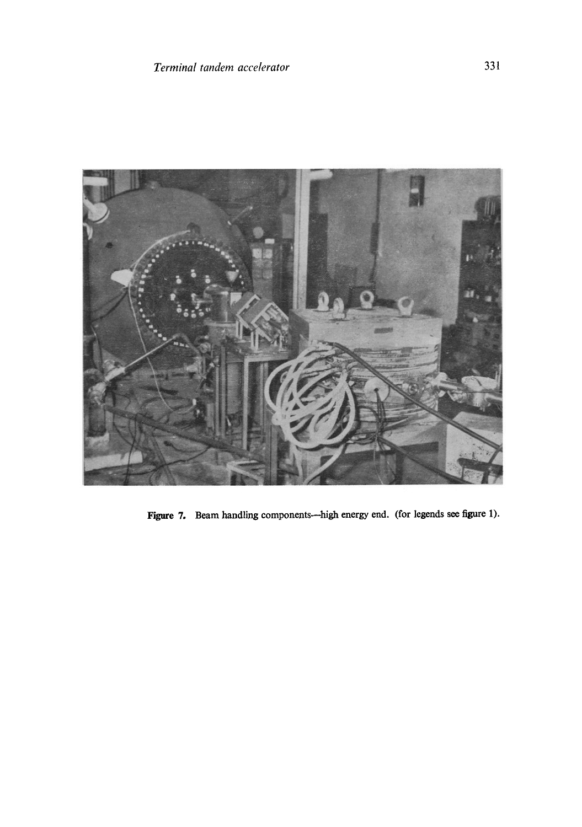

Figure 7. Beam handling components--high energy end. (for legends see figure 1).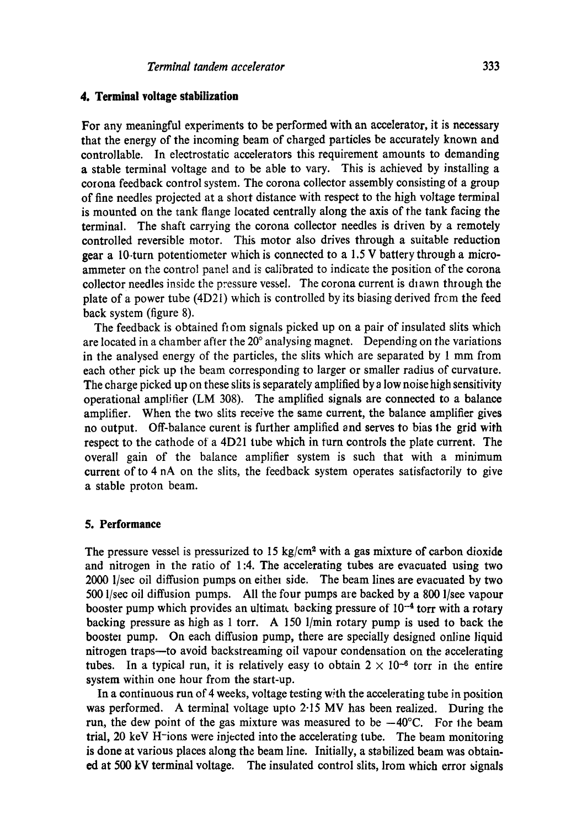#### **4. Terminal voltage stabilization**

For any meaningful experiments to be performed with an accelerator, it is necessary that the energy of the incoming beam of charged particles be accurately known and controllable. In electrostatic accelerators this requirement amounts to demanding a stable terminal voltage and to be able to vary. This is achieved by installing a corona feedback control system. The corona collector assembly consisting ot a group of fine needles projected at a short distance with respect to the high voltage terminal is mounted on the tank flange located centrally along the axis of the tank facing the terminal. The shaft carrying the corona collector needles is driven by a remotely controlled reversible motor. This motor also drives through a suitable reduction gear a 10-turn potentiometer which is connected to a 1.5 V battery through a microammeter on the control panel and is calibrated to indicate the position of the corona collector needles inside the pressure vessel. The corona current is diawn through the plate of a power tube (4D21) which is controlled by its biasing derived frcm the feed back system (figure 8).

The feedback is obtained fiom signals picked up on a pair of insulated slits which are located in a chamber after the  $20^{\circ}$  analysing magnet. Depending on the variations in the analysed energy of the particles, the slits which are separated by 1 mm from each other pick up the beam corresponding to larger or smaller radius of curvature. The charge picked up on these slits is separately amplified by a low noise high sensitivity operational amplifier (LM 308). The amplified signals are connected to a balance amplifier. When the two slits receive the same current, the balance amplifier gives no output. Off-balance curent is further amplified and serves to bias lhe grid with respect to the cathode of a 4D21 tube which in turn controls the plate current. The overall gain of the balance amplifier system is such that with a minimum current of to 4 nA on the slits, the feedback system operates satisfactorily to give a stable proton beam.

#### **5. Performance**

The pressure vessel is pressurized to 15 kg/cm<sup>2</sup> with a gas mixture of carbon dioxide and nitrogen in the ratio of 1:4. The accelerating tubes are evacuated using two 2000 l/sec oil diffusion pumps on either side. The beam lines are evacuated by two 500 l/see oil diffusion pumps. All the four pumps are backed by a 800 l/see vapour booster pump which provides an ultimate backing pressure of  $10^{-4}$  torr with a rotary backing pressure as high as 1 torr. A 150 1/min rotary pump is used to back the boostel pump. On each diffusion pump, there are specially designed online liquid nitrogen traps--to avoid backstreaming oil vapour condensation on the accelerating tubes. In a typical run, it is relatively easy to obtain  $2 \times 10^{-6}$  torr in the entire system within one hour from the start-up.

In a continuous run of 4 weeks, voltage testing with the accelerating tube in position was performed. A terminal voltage upto 2-15 MV has been realized. During the run, the dew point of the gas mixture was measured to be  $-40^{\circ}$ C. For the beam trial, 20 keV H-ions were injected into the accelerating tube. The beam monitoring is done at various places along the beam line. Initially, a stabilized beam was obtained at 500 kV terminal voltage. The insulated control slits, lrom which error signals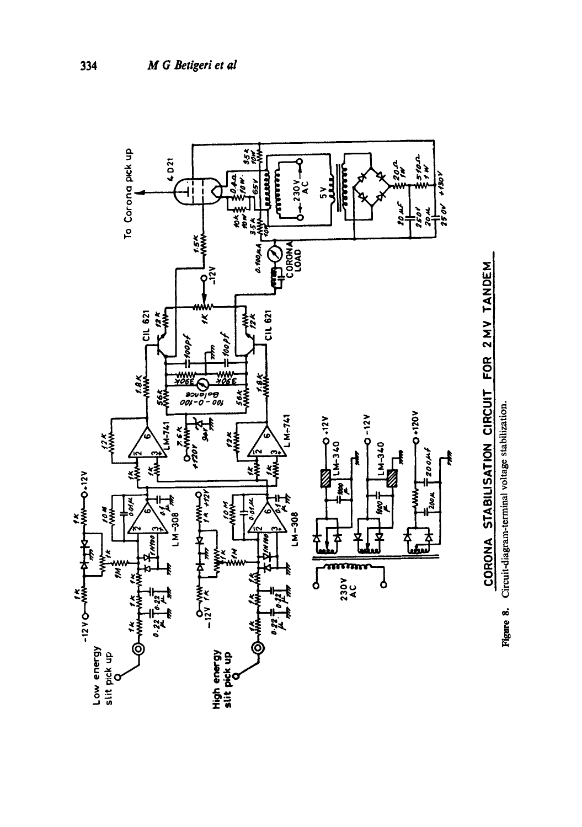



Circuit-diagram-terminal voltage stabilization. Circuit-diagram-terminal voltage stabilization. **Figure 8.** 

334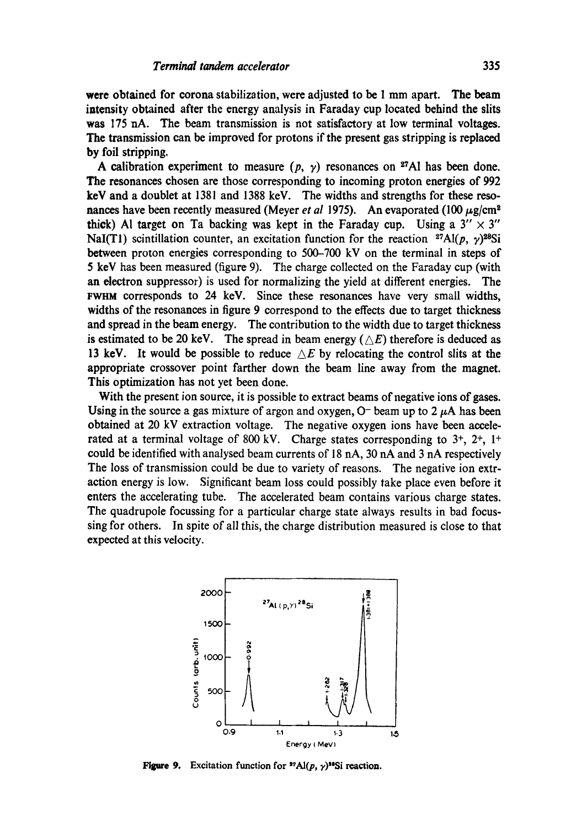**were** obtained for corona stabilization, were adjusted to be 1 mm apart. The beam intensity obtained after the energy analysis in Faraday cup located behind the slits was 175 hA. The beam transmission is not satisfactory at low terminal voltages. **The** transmission can be improved for protons if the present gas stripping is replaced by foil stripping.

A calibration experiment to measure  $(p, \gamma)$  resonances on <sup>27</sup>Al has been done. The resonances chosen are those corresponding to incoming proton energies of 992 **keV** and a doublet at 1381 and 1388 keV. The widths and strengths for these resonances have been recently measured (Meyer *et al 1975*). An evaporated (100  $\mu$ g/cm<sup>2</sup> thick) Al target on Ta backing was kept in the Faraday cup. Using a  $3'' \times 3''$ NaI(T1) scintillation counter, an excitation function for the reaction <sup>27</sup>Al(p,  $\gamma$ )<sup>28</sup>Si between proton energies corresponding to 500-700 kV on the terminal in steps of 5 key has been measured (figure 9). The charge collected on the Faraday cup (with an electron suppressor) is used for normalizing the yield at different energies. The FWHM corresponds to 24 keV. Since these resonances have very small widths, widths of the resonances in figure 9 correspond to the effects due to target thickness and spread in the beam energy. The contribution to the width due to target thickness is estimated to be 20 keV. The spread in beam energy ( $\triangle E$ ) therefore is deduced as 13 keV. It would be possible to reduce  $\triangle E$  by relocating the control slits at the appropriate crossover point farther down the beam line away from the magnet. This optimization has not yet been done.

With the present ion source, it is possible to extract beams of negative ions of gases. Using in the source a gas mixture of argon and oxygen,  $O^-$  beam up to 2  $\mu$ A has been obtained at 20 kV extraction voltage. The negative oxygen ions have been accelerated at a terminal voltage of 800 kV. Charge states corresponding to  $3^+, 2^+, 1^+$ could be identified with analysed beam currents of 18 nA, 30 nA and 3 nA respectively The loss of transmission could be due to variety of reasons. The negative ion extraction energy is low. Significant beam loss could possibly take place even before it enters the accelerating tube. The accelerated beam contains various charge states. The quadrupole focussing for a particular charge state always results in bad focussing for others. In spite of all this, the charge distribution measured is close to that expected at this velocity.



Figure 9. Excitation function for  $\mathbf{A}$ [ $(p, \gamma)$ <sup>10</sup>Si reaction.